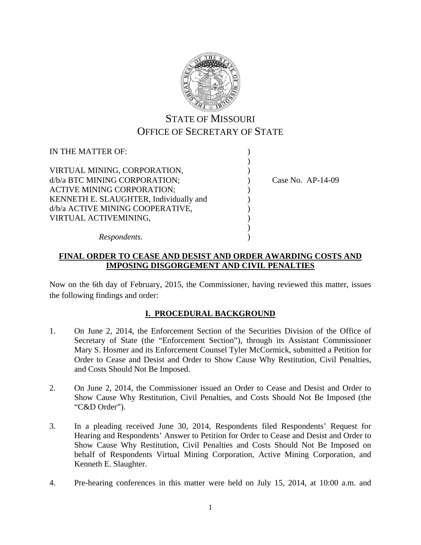

# STATE OF MISSOURI OFFICE OF SECRETARY OF STATE

| IN THE MATTER OF:                      |                     |
|----------------------------------------|---------------------|
|                                        |                     |
| VIRTUAL MINING, CORPORATION,           |                     |
| d/b/a BTC MINING CORPORATION;          | Case No. $AP-14-09$ |
| <b>ACTIVE MINING CORPORATION;</b>      |                     |
| KENNETH E. SLAUGHTER, Individually and |                     |
| d/b/a ACTIVE MINING COOPERATIVE,       |                     |
| VIRTUAL ACTIVEMINING,                  |                     |
|                                        |                     |
| Respondents.                           |                     |

## **FINAL ORDER TO CEASE AND DESIST AND ORDER AWARDING COSTS AND IMPOSING DISGORGEMENT AND CIVIL PENALTIES**

Now on the 6th day of February, 2015, the Commissioner, having reviewed this matter, issues the following findings and order:

## **I. PROCEDURAL BACKGROUND**

- 1. On June 2, 2014, the Enforcement Section of the Securities Division of the Office of Secretary of State (the "Enforcement Section"), through its Assistant Commissioner Mary S. Hosmer and its Enforcement Counsel Tyler McCormick, submitted a Petition for Order to Cease and Desist and Order to Show Cause Why Restitution, Civil Penalties, and Costs Should Not Be Imposed.
- 2. On June 2, 2014, the Commissioner issued an Order to Cease and Desist and Order to Show Cause Why Restitution, Civil Penalties, and Costs Should Not Be Imposed (the "C&D Order").
- 3. In a pleading received June 30, 2014, Respondents filed Respondents' Request for Hearing and Respondents' Answer to Petition for Order to Cease and Desist and Order to Show Cause Why Restitution, Civil Penalties and Costs Should Not Be Imposed on behalf of Respondents Virtual Mining Corporation, Active Mining Corporation, and Kenneth E. Slaughter.
- 4. Pre-hearing conferences in this matter were held on July 15, 2014, at 10:00 a.m. and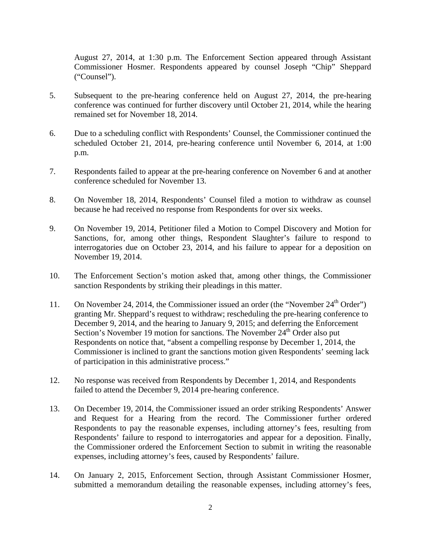August 27, 2014, at 1:30 p.m. The Enforcement Section appeared through Assistant Commissioner Hosmer. Respondents appeared by counsel Joseph "Chip" Sheppard ("Counsel").

- 5. Subsequent to the pre-hearing conference held on August 27, 2014, the pre-hearing conference was continued for further discovery until October 21, 2014, while the hearing remained set for November 18, 2014.
- 6. Due to a scheduling conflict with Respondents' Counsel, the Commissioner continued the scheduled October 21, 2014, pre-hearing conference until November 6, 2014, at 1:00 p.m.
- 7. Respondents failed to appear at the pre-hearing conference on November 6 and at another conference scheduled for November 13.
- 8. On November 18, 2014, Respondents' Counsel filed a motion to withdraw as counsel because he had received no response from Respondents for over six weeks.
- 9. On November 19, 2014, Petitioner filed a Motion to Compel Discovery and Motion for Sanctions, for, among other things, Respondent Slaughter's failure to respond to interrogatories due on October 23, 2014, and his failure to appear for a deposition on November 19, 2014.
- 10. The Enforcement Section's motion asked that, among other things, the Commissioner sanction Respondents by striking their pleadings in this matter.
- 11. On November 24, 2014, the Commissioner issued an order (the "November 24<sup>th</sup> Order") granting Mr. Sheppard's request to withdraw; rescheduling the pre-hearing conference to December 9, 2014, and the hearing to January 9, 2015; and deferring the Enforcement Section's November 19 motion for sanctions. The November 24<sup>th</sup> Order also put Respondents on notice that, "absent a compelling response by December 1, 2014, the Commissioner is inclined to grant the sanctions motion given Respondents' seeming lack of participation in this administrative process."
- 12. No response was received from Respondents by December 1, 2014, and Respondents failed to attend the December 9, 2014 pre-hearing conference.
- 13. On December 19, 2014, the Commissioner issued an order striking Respondents' Answer and Request for a Hearing from the record. The Commissioner further ordered Respondents to pay the reasonable expenses, including attorney's fees, resulting from Respondents' failure to respond to interrogatories and appear for a deposition. Finally, the Commissioner ordered the Enforcement Section to submit in writing the reasonable expenses, including attorney's fees, caused by Respondents' failure.
- 14. On January 2, 2015, Enforcement Section, through Assistant Commissioner Hosmer, submitted a memorandum detailing the reasonable expenses, including attorney's fees,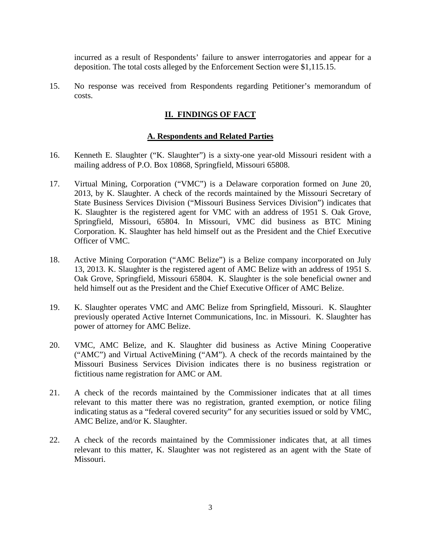incurred as a result of Respondents' failure to answer interrogatories and appear for a deposition. The total costs alleged by the Enforcement Section were \$1,115.15.

15. No response was received from Respondents regarding Petitioner's memorandum of costs.

## **II. FINDINGS OF FACT**

#### **A. Respondents and Related Parties**

- 16. Kenneth E. Slaughter ("K. Slaughter") is a sixty-one year-old Missouri resident with a mailing address of P.O. Box 10868, Springfield, Missouri 65808.
- 17. Virtual Mining, Corporation ("VMC") is a Delaware corporation formed on June 20, 2013, by K. Slaughter. A check of the records maintained by the Missouri Secretary of State Business Services Division ("Missouri Business Services Division") indicates that K. Slaughter is the registered agent for VMC with an address of 1951 S. Oak Grove, Springfield, Missouri, 65804. In Missouri, VMC did business as BTC Mining Corporation. K. Slaughter has held himself out as the President and the Chief Executive Officer of VMC.
- 18. Active Mining Corporation ("AMC Belize") is a Belize company incorporated on July 13, 2013. K. Slaughter is the registered agent of AMC Belize with an address of 1951 S. Oak Grove, Springfield, Missouri 65804. K. Slaughter is the sole beneficial owner and held himself out as the President and the Chief Executive Officer of AMC Belize.
- 19. K. Slaughter operates VMC and AMC Belize from Springfield, Missouri. K. Slaughter previously operated Active Internet Communications, Inc. in Missouri. K. Slaughter has power of attorney for AMC Belize.
- 20. VMC, AMC Belize, and K. Slaughter did business as Active Mining Cooperative ("AMC") and Virtual ActiveMining ("AM"). A check of the records maintained by the Missouri Business Services Division indicates there is no business registration or fictitious name registration for AMC or AM.
- 21. A check of the records maintained by the Commissioner indicates that at all times relevant to this matter there was no registration, granted exemption, or notice filing indicating status as a "federal covered security" for any securities issued or sold by VMC, AMC Belize, and/or K. Slaughter.
- 22. A check of the records maintained by the Commissioner indicates that, at all times relevant to this matter, K. Slaughter was not registered as an agent with the State of Missouri.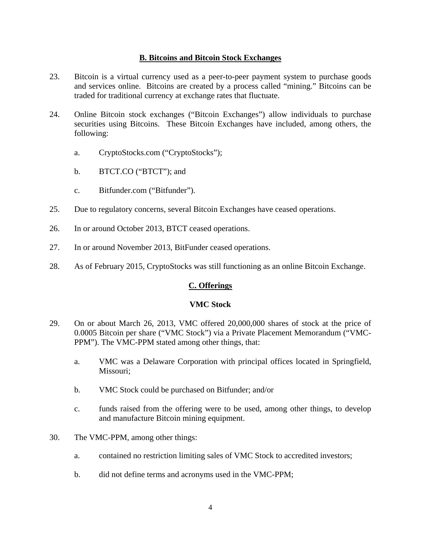#### **B. Bitcoins and Bitcoin Stock Exchanges**

- 23. Bitcoin is a virtual currency used as a peer-to-peer payment system to purchase goods and services online. Bitcoins are created by a process called "mining." Bitcoins can be traded for traditional currency at exchange rates that fluctuate.
- 24. Online Bitcoin stock exchanges ("Bitcoin Exchanges") allow individuals to purchase securities using Bitcoins. These Bitcoin Exchanges have included, among others, the following:
	- a. CryptoStocks.com ("CryptoStocks");
	- b. BTCT.CO ("BTCT"); and
	- c. Bitfunder.com ("Bitfunder").
- 25. Due to regulatory concerns, several Bitcoin Exchanges have ceased operations.
- 26. In or around October 2013, BTCT ceased operations.
- 27. In or around November 2013, BitFunder ceased operations.
- 28. As of February 2015, CryptoStocks was still functioning as an online Bitcoin Exchange.

## **C. Offerings**

#### **VMC Stock**

- 29. On or about March 26, 2013, VMC offered 20,000,000 shares of stock at the price of 0.0005 Bitcoin per share ("VMC Stock") via a Private Placement Memorandum ("VMC-PPM"). The VMC-PPM stated among other things, that:
	- a. VMC was a Delaware Corporation with principal offices located in Springfield, Missouri;
	- b. VMC Stock could be purchased on Bitfunder; and/or
	- c. funds raised from the offering were to be used, among other things, to develop and manufacture Bitcoin mining equipment.
- 30. The VMC-PPM, among other things:
	- a. contained no restriction limiting sales of VMC Stock to accredited investors;
	- b. did not define terms and acronyms used in the VMC-PPM;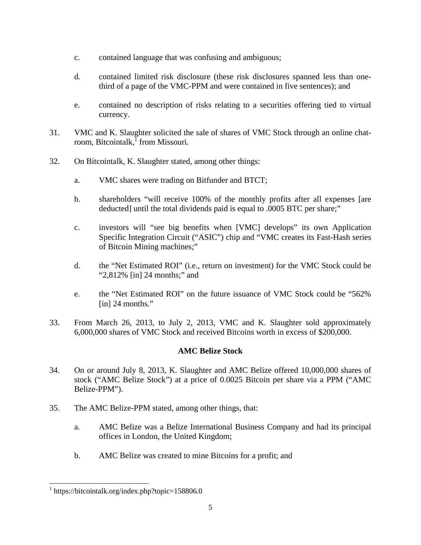- c. contained language that was confusing and ambiguous;
- d. contained limited risk disclosure (these risk disclosures spanned less than onethird of a page of the VMC-PPM and were contained in five sentences); and
- e. contained no description of risks relating to a securities offering tied to virtual currency.
- 31. VMC and K. Slaughter solicited the sale of shares of VMC Stock through an online chatroom, Bitcointalk, from Missouri.
- 32. On Bitcointalk, K. Slaughter stated, among other things:
	- a. VMC shares were trading on Bitfunder and BTCT;
	- b. shareholders "will receive 100% of the monthly profits after all expenses [are deducted] until the total dividends paid is equal to .0005 BTC per share;"
	- c. investors will "see big benefits when [VMC] develops" its own Application Specific Integration Circuit ("ASIC") chip and "VMC creates its Fast-Hash series of Bitcoin Mining machines;"
	- d. the "Net Estimated ROI" (i.e., return on investment) for the VMC Stock could be "2,812% [in] 24 months;" and
	- e. the "Net Estimated ROI" on the future issuance of VMC Stock could be "562% [in] 24 months."
- 33. From March 26, 2013, to July 2, 2013, VMC and K. Slaughter sold approximately 6,000,000 shares of VMC Stock and received Bitcoins worth in excess of \$200,000.

## **AMC Belize Stock**

- 34. On or around July 8, 2013, K. Slaughter and AMC Belize offered 10,000,000 shares of stock ("AMC Belize Stock") at a price of 0.0025 Bitcoin per share via a PPM ("AMC Belize-PPM").
- 35. The AMC Belize-PPM stated, among other things, that:
	- a. AMC Belize was a Belize International Business Company and had its principal offices in London, the United Kingdom;
	- b. AMC Belize was created to mine Bitcoins for a profit; and

 $\overline{a}$ 

<sup>&</sup>lt;sup>1</sup> https://bitcointalk.org/index.php?topic=158806.0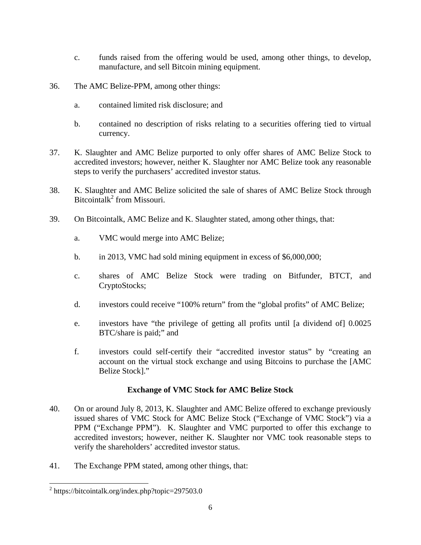- c. funds raised from the offering would be used, among other things, to develop, manufacture, and sell Bitcoin mining equipment.
- 36. The AMC Belize-PPM, among other things:
	- a. contained limited risk disclosure; and
	- b. contained no description of risks relating to a securities offering tied to virtual currency.
- 37. K. Slaughter and AMC Belize purported to only offer shares of AMC Belize Stock to accredited investors; however, neither K. Slaughter nor AMC Belize took any reasonable steps to verify the purchasers' accredited investor status.
- 38. K. Slaughter and AMC Belize solicited the sale of shares of AMC Belize Stock through Bitcointalk<sup>2</sup> from Missouri.
- 39. On Bitcointalk, AMC Belize and K. Slaughter stated, among other things, that:
	- a. VMC would merge into AMC Belize;
	- b. in 2013, VMC had sold mining equipment in excess of \$6,000,000;
	- c. shares of AMC Belize Stock were trading on Bitfunder, BTCT, and CryptoStocks;
	- d. investors could receive "100% return" from the "global profits" of AMC Belize;
	- e. investors have "the privilege of getting all profits until [a dividend of] 0.0025 BTC/share is paid;" and
	- f. investors could self-certify their "accredited investor status" by "creating an account on the virtual stock exchange and using Bitcoins to purchase the [AMC Belize Stock]."

#### **Exchange of VMC Stock for AMC Belize Stock**

- 40. On or around July 8, 2013, K. Slaughter and AMC Belize offered to exchange previously issued shares of VMC Stock for AMC Belize Stock ("Exchange of VMC Stock") via a PPM ("Exchange PPM"). K. Slaughter and VMC purported to offer this exchange to accredited investors; however, neither K. Slaughter nor VMC took reasonable steps to verify the shareholders' accredited investor status.
- 41. The Exchange PPM stated, among other things, that:

 $\overline{a}$ 

<sup>&</sup>lt;sup>2</sup> https://bitcointalk.org/index.php?topic=297503.0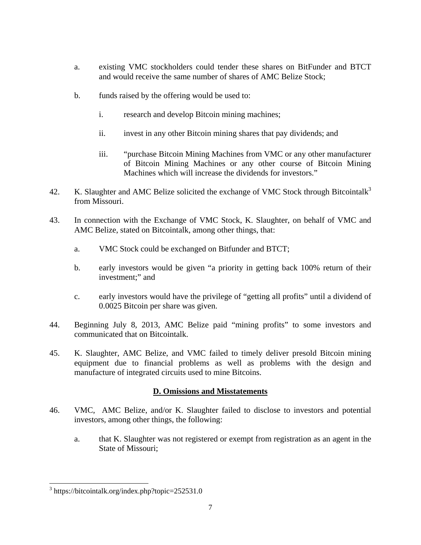- a. existing VMC stockholders could tender these shares on BitFunder and BTCT and would receive the same number of shares of AMC Belize Stock;
- b. funds raised by the offering would be used to:
	- i. research and develop Bitcoin mining machines;
	- ii. invest in any other Bitcoin mining shares that pay dividends; and
	- iii. "purchase Bitcoin Mining Machines from VMC or any other manufacturer of Bitcoin Mining Machines or any other course of Bitcoin Mining Machines which will increase the dividends for investors."
- 42. K. Slaughter and AMC Belize solicited the exchange of VMC Stock through Bitcointalk<sup>3</sup> from Missouri.
- 43. In connection with the Exchange of VMC Stock, K. Slaughter, on behalf of VMC and AMC Belize, stated on Bitcointalk, among other things, that:
	- a. VMC Stock could be exchanged on Bitfunder and BTCT;
	- b. early investors would be given "a priority in getting back 100% return of their investment;" and
	- c. early investors would have the privilege of "getting all profits" until a dividend of 0.0025 Bitcoin per share was given.
- 44. Beginning July 8, 2013, AMC Belize paid "mining profits" to some investors and communicated that on Bitcointalk.
- 45. K. Slaughter, AMC Belize, and VMC failed to timely deliver presold Bitcoin mining equipment due to financial problems as well as problems with the design and manufacture of integrated circuits used to mine Bitcoins.

# **D. Omissions and Misstatements**

- 46. VMC, AMC Belize, and/or K. Slaughter failed to disclose to investors and potential investors, among other things, the following:
	- a. that K. Slaughter was not registered or exempt from registration as an agent in the State of Missouri;

 $\overline{a}$ 

<sup>3</sup> https://bitcointalk.org/index.php?topic=252531.0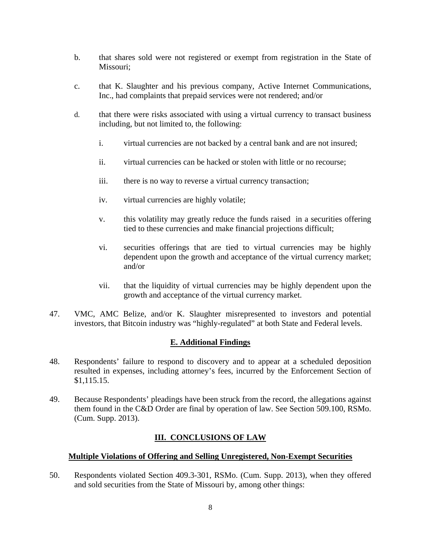- b. that shares sold were not registered or exempt from registration in the State of Missouri;
- c. that K. Slaughter and his previous company, Active Internet Communications, Inc., had complaints that prepaid services were not rendered; and/or
- d. that there were risks associated with using a virtual currency to transact business including, but not limited to, the following:
	- i. virtual currencies are not backed by a central bank and are not insured;
	- ii. virtual currencies can be hacked or stolen with little or no recourse;
	- iii. there is no way to reverse a virtual currency transaction;
	- iv. virtual currencies are highly volatile;
	- v. this volatility may greatly reduce the funds raised in a securities offering tied to these currencies and make financial projections difficult;
	- vi. securities offerings that are tied to virtual currencies may be highly dependent upon the growth and acceptance of the virtual currency market; and/or
	- vii. that the liquidity of virtual currencies may be highly dependent upon the growth and acceptance of the virtual currency market.
- 47. VMC, AMC Belize, and/or K. Slaughter misrepresented to investors and potential investors, that Bitcoin industry was "highly-regulated" at both State and Federal levels.

#### **E. Additional Findings**

- 48. Respondents' failure to respond to discovery and to appear at a scheduled deposition resulted in expenses, including attorney's fees, incurred by the Enforcement Section of \$1,115.15.
- 49. Because Respondents' pleadings have been struck from the record, the allegations against them found in the C&D Order are final by operation of law. See Section 509.100, RSMo. (Cum. Supp. 2013).

## **III. CONCLUSIONS OF LAW**

## **Multiple Violations of Offering and Selling Unregistered, Non-Exempt Securities**

50. Respondents violated Section 409.3-301, RSMo. (Cum. Supp. 2013), when they offered and sold securities from the State of Missouri by, among other things: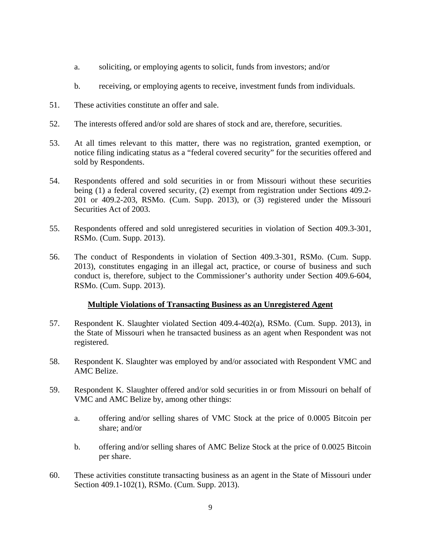- a. soliciting, or employing agents to solicit, funds from investors; and/or
- b. receiving, or employing agents to receive, investment funds from individuals.
- 51. These activities constitute an offer and sale.
- 52. The interests offered and/or sold are shares of stock and are, therefore, securities.
- 53. At all times relevant to this matter, there was no registration, granted exemption, or notice filing indicating status as a "federal covered security" for the securities offered and sold by Respondents.
- 54. Respondents offered and sold securities in or from Missouri without these securities being (1) a federal covered security, (2) exempt from registration under Sections 409.2- 201 or 409.2-203, RSMo. (Cum. Supp. 2013), or (3) registered under the Missouri Securities Act of 2003.
- 55. Respondents offered and sold unregistered securities in violation of Section 409.3-301, RSMo. (Cum. Supp. 2013).
- 56. The conduct of Respondents in violation of Section 409.3-301, RSMo. (Cum. Supp. 2013), constitutes engaging in an illegal act, practice, or course of business and such conduct is, therefore, subject to the Commissioner's authority under Section 409.6-604, RSMo. (Cum. Supp. 2013).

#### **Multiple Violations of Transacting Business as an Unregistered Agent**

- 57. Respondent K. Slaughter violated Section 409.4-402(a), RSMo. (Cum. Supp. 2013), in the State of Missouri when he transacted business as an agent when Respondent was not registered.
- 58. Respondent K. Slaughter was employed by and/or associated with Respondent VMC and AMC Belize.
- 59. Respondent K. Slaughter offered and/or sold securities in or from Missouri on behalf of VMC and AMC Belize by, among other things:
	- a. offering and/or selling shares of VMC Stock at the price of 0.0005 Bitcoin per share; and/or
	- b. offering and/or selling shares of AMC Belize Stock at the price of 0.0025 Bitcoin per share.
- 60. These activities constitute transacting business as an agent in the State of Missouri under Section 409.1-102(1), RSMo. (Cum. Supp. 2013).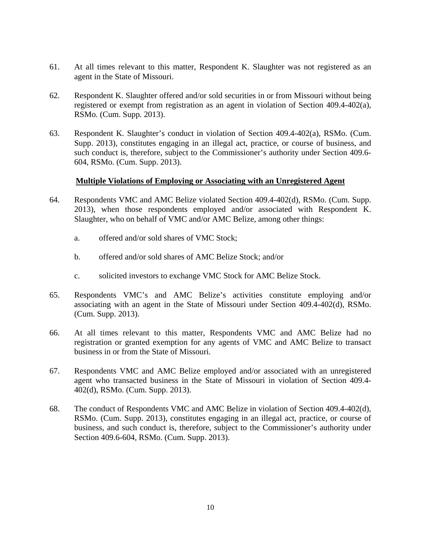- 61. At all times relevant to this matter, Respondent K. Slaughter was not registered as an agent in the State of Missouri.
- 62. Respondent K. Slaughter offered and/or sold securities in or from Missouri without being registered or exempt from registration as an agent in violation of Section 409.4-402(a), RSMo. (Cum. Supp. 2013).
- 63. Respondent K. Slaughter's conduct in violation of Section 409.4-402(a), RSMo. (Cum. Supp. 2013), constitutes engaging in an illegal act, practice, or course of business, and such conduct is, therefore, subject to the Commissioner's authority under Section 409.6- 604, RSMo. (Cum. Supp. 2013).

#### **Multiple Violations of Employing or Associating with an Unregistered Agent**

- 64. Respondents VMC and AMC Belize violated Section 409.4-402(d), RSMo. (Cum. Supp. 2013), when those respondents employed and/or associated with Respondent K. Slaughter, who on behalf of VMC and/or AMC Belize, among other things:
	- a. offered and/or sold shares of VMC Stock;
	- b. offered and/or sold shares of AMC Belize Stock; and/or
	- c. solicited investors to exchange VMC Stock for AMC Belize Stock.
- 65. Respondents VMC's and AMC Belize's activities constitute employing and/or associating with an agent in the State of Missouri under Section 409.4-402(d), RSMo. (Cum. Supp. 2013).
- 66. At all times relevant to this matter, Respondents VMC and AMC Belize had no registration or granted exemption for any agents of VMC and AMC Belize to transact business in or from the State of Missouri.
- 67. Respondents VMC and AMC Belize employed and/or associated with an unregistered agent who transacted business in the State of Missouri in violation of Section 409.4- 402(d), RSMo. (Cum. Supp. 2013).
- 68. The conduct of Respondents VMC and AMC Belize in violation of Section 409.4-402(d), RSMo. (Cum. Supp. 2013), constitutes engaging in an illegal act, practice, or course of business, and such conduct is, therefore, subject to the Commissioner's authority under Section 409.6-604, RSMo. (Cum. Supp. 2013).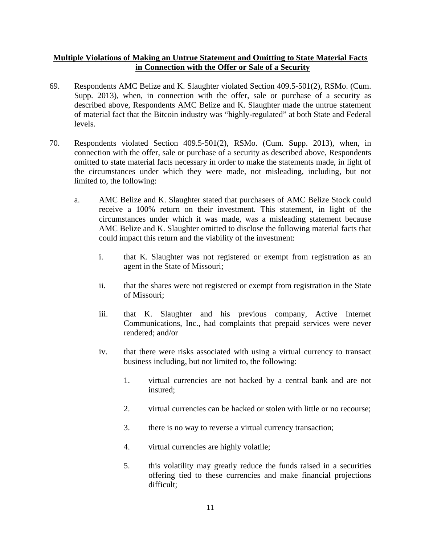## **Multiple Violations of Making an Untrue Statement and Omitting to State Material Facts in Connection with the Offer or Sale of a Security**

- 69. Respondents AMC Belize and K. Slaughter violated Section 409.5-501(2), RSMo. (Cum. Supp. 2013), when, in connection with the offer, sale or purchase of a security as described above, Respondents AMC Belize and K. Slaughter made the untrue statement of material fact that the Bitcoin industry was "highly-regulated" at both State and Federal levels.
- 70. Respondents violated Section 409.5-501(2), RSMo. (Cum. Supp. 2013), when, in connection with the offer, sale or purchase of a security as described above, Respondents omitted to state material facts necessary in order to make the statements made, in light of the circumstances under which they were made, not misleading, including, but not limited to, the following:
	- a. AMC Belize and K. Slaughter stated that purchasers of AMC Belize Stock could receive a 100% return on their investment. This statement, in light of the circumstances under which it was made, was a misleading statement because AMC Belize and K. Slaughter omitted to disclose the following material facts that could impact this return and the viability of the investment:
		- i. that K. Slaughter was not registered or exempt from registration as an agent in the State of Missouri;
		- ii. that the shares were not registered or exempt from registration in the State of Missouri;
		- iii. that K. Slaughter and his previous company, Active Internet Communications, Inc., had complaints that prepaid services were never rendered; and/or
		- iv. that there were risks associated with using a virtual currency to transact business including, but not limited to, the following:
			- 1. virtual currencies are not backed by a central bank and are not insured;
			- 2. virtual currencies can be hacked or stolen with little or no recourse;
			- 3. there is no way to reverse a virtual currency transaction;
			- 4. virtual currencies are highly volatile;
			- 5. this volatility may greatly reduce the funds raised in a securities offering tied to these currencies and make financial projections difficult;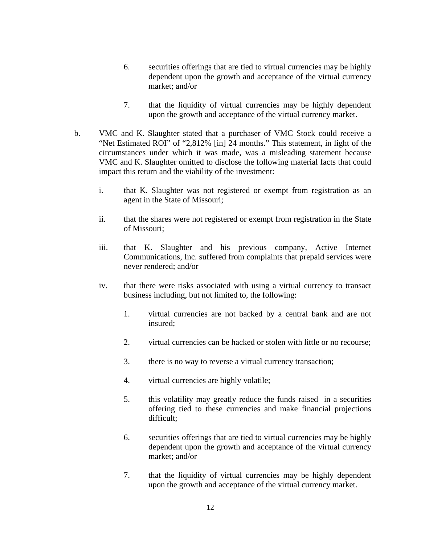- 6. securities offerings that are tied to virtual currencies may be highly dependent upon the growth and acceptance of the virtual currency market; and/or
- 7. that the liquidity of virtual currencies may be highly dependent upon the growth and acceptance of the virtual currency market.
- b. VMC and K. Slaughter stated that a purchaser of VMC Stock could receive a "Net Estimated ROI" of "2,812% [in] 24 months." This statement, in light of the circumstances under which it was made, was a misleading statement because VMC and K. Slaughter omitted to disclose the following material facts that could impact this return and the viability of the investment:
	- i. that K. Slaughter was not registered or exempt from registration as an agent in the State of Missouri;
	- ii. that the shares were not registered or exempt from registration in the State of Missouri;
	- iii. that K. Slaughter and his previous company, Active Internet Communications, Inc. suffered from complaints that prepaid services were never rendered; and/or
	- iv. that there were risks associated with using a virtual currency to transact business including, but not limited to, the following:
		- 1. virtual currencies are not backed by a central bank and are not insured;
		- 2. virtual currencies can be hacked or stolen with little or no recourse;
		- 3. there is no way to reverse a virtual currency transaction;
		- 4. virtual currencies are highly volatile;
		- 5. this volatility may greatly reduce the funds raised in a securities offering tied to these currencies and make financial projections difficult;
		- 6. securities offerings that are tied to virtual currencies may be highly dependent upon the growth and acceptance of the virtual currency market; and/or
		- 7. that the liquidity of virtual currencies may be highly dependent upon the growth and acceptance of the virtual currency market.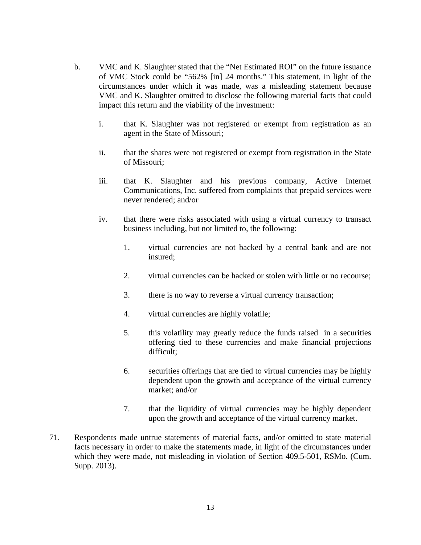- b. VMC and K. Slaughter stated that the "Net Estimated ROI" on the future issuance of VMC Stock could be "562% [in] 24 months." This statement, in light of the circumstances under which it was made, was a misleading statement because VMC and K. Slaughter omitted to disclose the following material facts that could impact this return and the viability of the investment:
	- i. that K. Slaughter was not registered or exempt from registration as an agent in the State of Missouri;
	- ii. that the shares were not registered or exempt from registration in the State of Missouri;
	- iii. that K. Slaughter and his previous company, Active Internet Communications, Inc. suffered from complaints that prepaid services were never rendered; and/or
	- iv. that there were risks associated with using a virtual currency to transact business including, but not limited to, the following:
		- 1. virtual currencies are not backed by a central bank and are not insured;
		- 2. virtual currencies can be hacked or stolen with little or no recourse;
		- 3. there is no way to reverse a virtual currency transaction;
		- 4. virtual currencies are highly volatile;
		- 5. this volatility may greatly reduce the funds raised in a securities offering tied to these currencies and make financial projections difficult;
		- 6. securities offerings that are tied to virtual currencies may be highly dependent upon the growth and acceptance of the virtual currency market; and/or
		- 7. that the liquidity of virtual currencies may be highly dependent upon the growth and acceptance of the virtual currency market.
- 71. Respondents made untrue statements of material facts, and/or omitted to state material facts necessary in order to make the statements made, in light of the circumstances under which they were made, not misleading in violation of Section 409.5-501, RSMo. (Cum. Supp. 2013).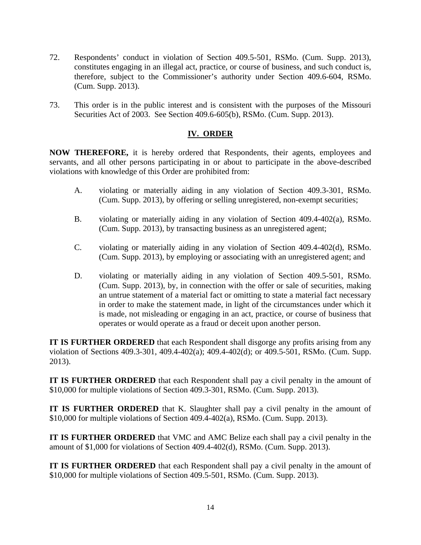- 72. Respondents' conduct in violation of Section 409.5-501, RSMo. (Cum. Supp. 2013), constitutes engaging in an illegal act, practice, or course of business, and such conduct is, therefore, subject to the Commissioner's authority under Section 409.6-604, RSMo. (Cum. Supp. 2013).
- 73. This order is in the public interest and is consistent with the purposes of the Missouri Securities Act of 2003. See Section 409.6-605(b), RSMo. (Cum. Supp. 2013).

## **IV. ORDER**

**NOW THEREFORE,** it is hereby ordered that Respondents, their agents, employees and servants, and all other persons participating in or about to participate in the above-described violations with knowledge of this Order are prohibited from:

- A. violating or materially aiding in any violation of Section 409.3-301, RSMo. (Cum. Supp. 2013), by offering or selling unregistered, non-exempt securities;
- B. violating or materially aiding in any violation of Section 409.4-402(a), RSMo. (Cum. Supp. 2013), by transacting business as an unregistered agent;
- C. violating or materially aiding in any violation of Section 409.4-402(d), RSMo. (Cum. Supp. 2013), by employing or associating with an unregistered agent; and
- D. violating or materially aiding in any violation of Section 409.5-501, RSMo. (Cum. Supp. 2013), by, in connection with the offer or sale of securities, making an untrue statement of a material fact or omitting to state a material fact necessary in order to make the statement made, in light of the circumstances under which it is made, not misleading or engaging in an act, practice, or course of business that operates or would operate as a fraud or deceit upon another person.

**IT IS FURTHER ORDERED** that each Respondent shall disgorge any profits arising from any violation of Sections 409.3-301, 409.4-402(a); 409.4-402(d); or 409.5-501, RSMo. (Cum. Supp. 2013).

**IT IS FURTHER ORDERED** that each Respondent shall pay a civil penalty in the amount of \$10,000 for multiple violations of Section 409.3-301, RSMo. (Cum. Supp. 2013).

**IT IS FURTHER ORDERED** that K. Slaughter shall pay a civil penalty in the amount of \$10,000 for multiple violations of Section 409.4-402(a), RSMo. (Cum. Supp. 2013).

**IT IS FURTHER ORDERED** that VMC and AMC Belize each shall pay a civil penalty in the amount of \$1,000 for violations of Section 409.4-402(d), RSMo. (Cum. Supp. 2013).

**IT IS FURTHER ORDERED** that each Respondent shall pay a civil penalty in the amount of \$10,000 for multiple violations of Section 409.5-501, RSMo. (Cum. Supp. 2013).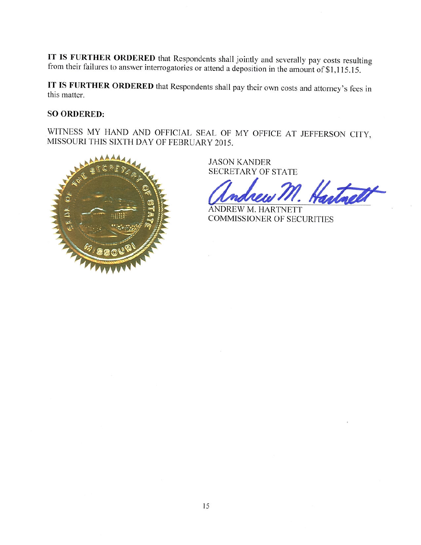IT IS FURTHER ORDERED that Respondents shall jointly and severally pay costs resulting from their failures to answer interrogatories or attend a deposition in the amount of \$1,115.15.

IT IS FURTHER ORDERED that Respondents shall pay their own costs and attorney's fees in this matter.

## **SO ORDERED:**

WITNESS MY HAND AND OFFICIAL SEAL OF MY OFFICE AT JEFFERSON CITY, MISSOURI THIS SIXTH DAY OF FEBRUARY 2015.



**JASON KANDER SECRETARY OF STATE** 

ANDREW M. HARTNETT **COMMISSIONER OF SECURITIES**